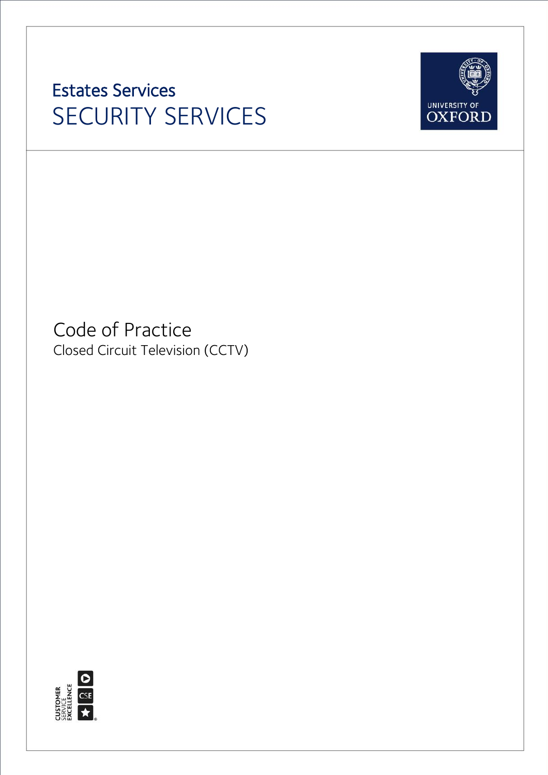# Estates Services SECURITY SERVICES



<span id="page-0-0"></span>Code of Practice Closed Circuit Television (CCTV)

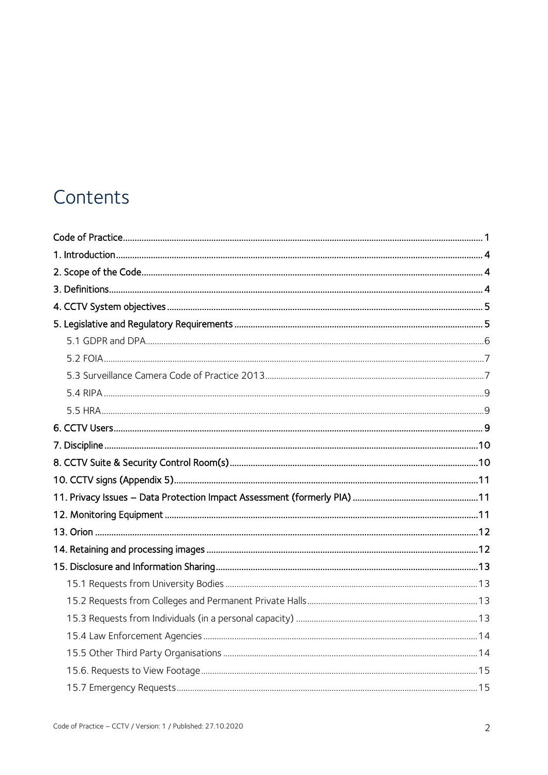### Contents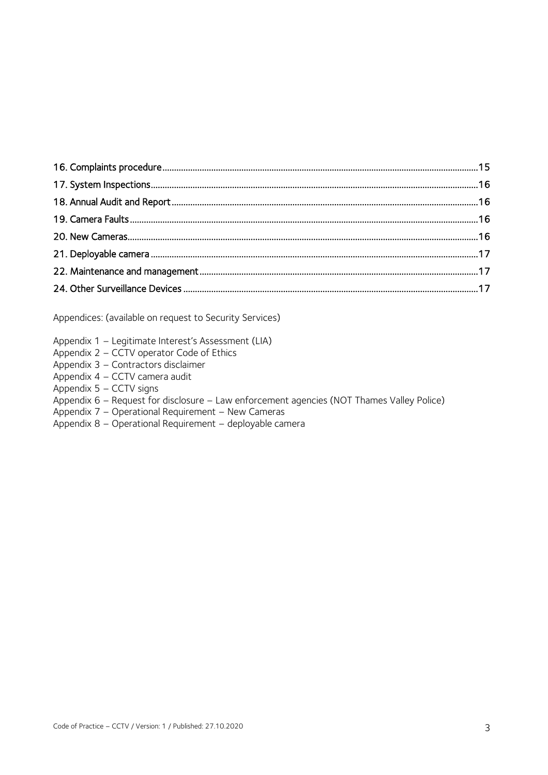Appendices: (available on request to Security Services)

- Appendix 1 Legitimate Interest's Assessment (LIA)
- Appendix 2 CCTV operator Code of Ethics
- Appendix 3 Contractors disclaimer
- Appendix 4 CCTV camera audit
- Appendix 5 CCTV signs
- Appendix 6 Request for disclosure Law enforcement agencies (NOT Thames Valley Police)
- Appendix 7 Operational Requirement New Cameras
- Appendix 8 Operational Requirement deployable camera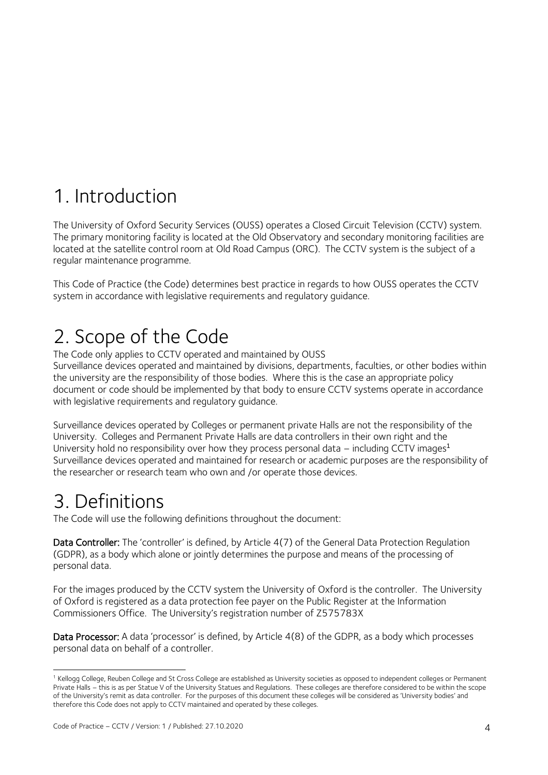## <span id="page-3-0"></span>1. Introduction

The University of Oxford Security Services (OUSS) operates a Closed Circuit Television (CCTV) system. The primary monitoring facility is located at the Old Observatory and secondary monitoring facilities are located at the satellite control room at Old Road Campus (ORC). The CCTV system is the subject of a regular maintenance programme.

This Code of Practice (the Code) determines best practice in regards to how OUSS operates the CCTV system in accordance with legislative requirements and regulatory guidance.

### <span id="page-3-1"></span>2. Scope of the Code

The Code only applies to CCTV operated and maintained by OUSS

Surveillance devices operated and maintained by divisions, departments, faculties, or other bodies within the university are the responsibility of those bodies. Where this is the case an appropriate policy document or code should be implemented by that body to ensure CCTV systems operate in accordance with legislative requirements and regulatory guidance.

Surveillance devices operated by Colleges or permanent private Halls are not the responsibility of the University. Colleges and Permanent Private Halls are data controllers in their own right and the University hold no responsibility over how they process personal data – including CCTV images<sup>1</sup> Surveillance devices operated and maintained for research or academic purposes are the responsibility of the researcher or research team who own and /or operate those devices.

### <span id="page-3-2"></span>3. Definitions

-

The Code will use the following definitions throughout the document:

Data Controller: The 'controller' is defined, by Article 4(7) of the General Data Protection Regulation (GDPR), as a body which alone or jointly determines the purpose and means of the processing of personal data.

For the images produced by the CCTV system the University of Oxford is the controller. The University of Oxford is registered as a data protection fee payer on the Public Register at the Information Commissioners Office. The University's registration number of Z575783X

Data Processor: A data 'processor' is defined, by Article 4(8) of the GDPR, as a body which processes personal data on behalf of a controller.

<sup>&</sup>lt;sup>1</sup> Kellogg College, Reuben College and St Cross College are established as University societies as opposed to independent colleges or Permanent Private Halls – this is as per Statue V of the University Statues and Regulations. These colleges are therefore considered to be within the scope of the University's remit as data controller. For the purposes of this document these colleges will be considered as 'University bodies' and therefore this Code does not apply to CCTV maintained and operated by these colleges.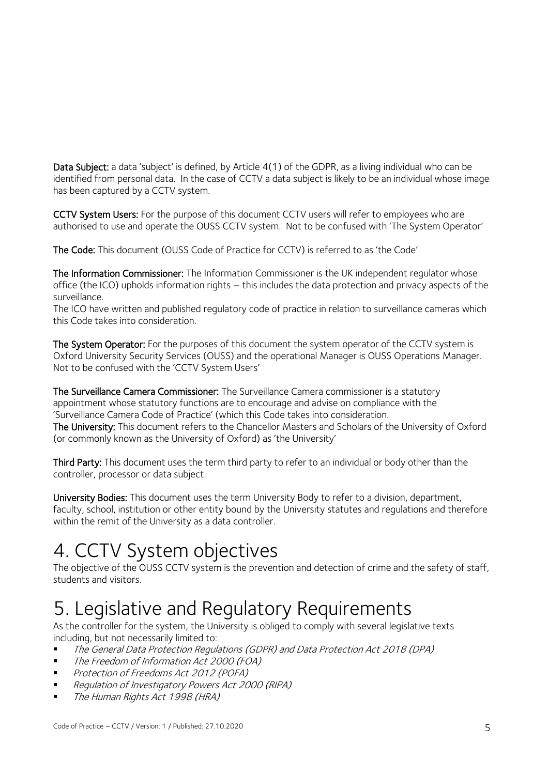Data Subject: a data 'subject' is defined, by Article 4(1) of the GDPR, as a living individual who can be identified from personal data. In the case of CCTV a data subject is likely to be an individual whose image has been captured by a CCTV system.

CCTV System Users: For the purpose of this document CCTV users will refer to employees who are authorised to use and operate the OUSS CCTV system. Not to be confused with 'The System Operator'

The Code: This document (OUSS Code of Practice for CCTV) is referred to as 'the Code'

The Information Commissioner: The Information Commissioner is the UK independent regulator whose office (the ICO) upholds information rights – this includes the data protection and privacy aspects of the surveillance.

The ICO have written and published regulatory code of practice in relation to surveillance cameras which this Code takes into consideration.

The System Operator: For the purposes of this document the system operator of the CCTV system is Oxford University Security Services (OUSS) and the operational Manager is OUSS Operations Manager. Not to be confused with the 'CCTV System Users'

The Surveillance Camera Commissioner: The Surveillance Camera commissioner is a statutory appointment whose statutory functions are to encourage and advise on compliance with the 'Surveillance Camera Code of Practice' (which this Code takes into consideration. The University: This document refers to the Chancellor Masters and Scholars of the University of Oxford

(or commonly known as the University of Oxford) as 'the University'

Third Party: This document uses the term third party to refer to an individual or body other than the controller, processor or data subject.

University Bodies: This document uses the term University Body to refer to a division, department, faculty, school, institution or other entity bound by the University statutes and regulations and therefore within the remit of the University as a data controller.

## <span id="page-4-0"></span>4. CCTV System objectives

The objective of the OUSS CCTV system is the prevention and detection of crime and the safety of staff, students and visitors.

## <span id="page-4-1"></span>5. Legislative and Regulatory Requirements

As the controller for the system, the University is obliged to comply with several legislative texts including, but not necessarily limited to:

- The General Data Protection Regulations (GDPR) and Data Protection Act 2018 (DPA)
- The Freedom of Information Act 2000 (FOA)
- **Protection of Freedoms Act 2012 (POFA)**
- Regulation of Investigatory Powers Act 2000 (RIPA)
- **The Human Rights Act 1998 (HRA)**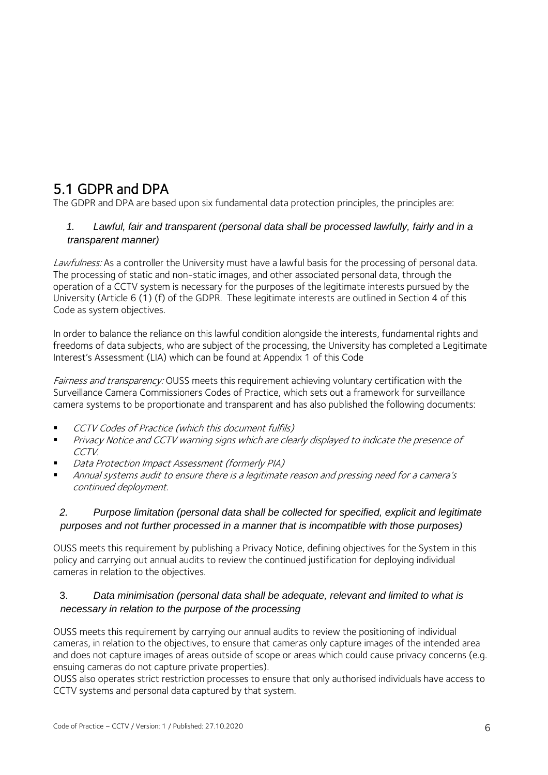#### <span id="page-5-0"></span>5.1 GDPR and DPA

The GDPR and DPA are based upon six fundamental data protection principles, the principles are:

#### *1. Lawful, fair and transparent (personal data shall be processed lawfully, fairly and in a transparent manner)*

Lawfulness: As a controller the University must have a lawful basis for the processing of personal data. The processing of static and non-static images, and other associated personal data, through the operation of a CCTV system is necessary for the purposes of the legitimate interests pursued by the University (Article 6 (1) (f) of the GDPR. These legitimate interests are outlined in Section 4 of this Code as system objectives.

In order to balance the reliance on this lawful condition alongside the interests, fundamental rights and freedoms of data subjects, who are subject of the processing, the University has completed a Legitimate Interest's Assessment (LIA) which can be found at Appendix 1 of this Code

Fairness and transparency: OUSS meets this requirement achieving voluntary certification with the Surveillance Camera Commissioners Codes of Practice, which sets out a framework for surveillance camera systems to be proportionate and transparent and has also published the following documents:

- CCTV Codes of Practice (which this document fulfils)
- **Privacy Notice and CCTV warning signs which are clearly displayed to indicate the presence of** CCTV.
- Data Protection Impact Assessment (formerly PIA)
- Annual systems audit to ensure there is a legitimate reason and pressing need for a camera'<sup>s</sup> continued deployment.

#### *2. Purpose limitation (personal data shall be collected for specified, explicit and legitimate purposes and not further processed in a manner that is incompatible with those purposes)*

OUSS meets this requirement by publishing a Privacy Notice, defining objectives for the System in this policy and carrying out annual audits to review the continued justification for deploying individual cameras in relation to the objectives.

#### 3. *Data minimisation (personal data shall be adequate, relevant and limited to what is necessary in relation to the purpose of the processing*

OUSS meets this requirement by carrying our annual audits to review the positioning of individual cameras, in relation to the objectives, to ensure that cameras only capture images of the intended area and does not capture images of areas outside of scope or areas which could cause privacy concerns (e.g. ensuing cameras do not capture private properties).

OUSS also operates strict restriction processes to ensure that only authorised individuals have access to CCTV systems and personal data captured by that system.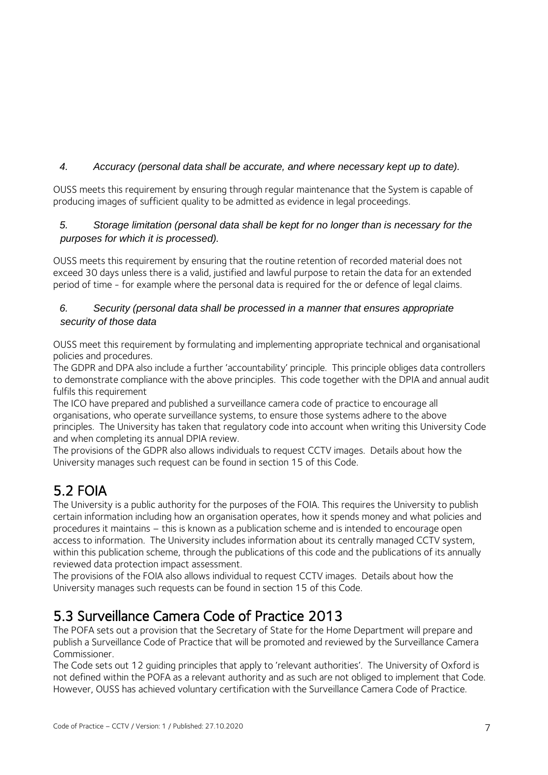#### *4. Accuracy (personal data shall be accurate, and where necessary kept up to date).*

OUSS meets this requirement by ensuring through regular maintenance that the System is capable of producing images of sufficient quality to be admitted as evidence in legal proceedings.

#### *5. Storage limitation (personal data shall be kept for no longer than is necessary for the purposes for which it is processed).*

OUSS meets this requirement by ensuring that the routine retention of recorded material does not exceed 30 days unless there is a valid, justified and lawful purpose to retain the data for an extended period of time - for example where the personal data is required for the or defence of legal claims.

#### *6. Security (personal data shall be processed in a manner that ensures appropriate security of those data*

OUSS meet this requirement by formulating and implementing appropriate technical and organisational policies and procedures.

The GDPR and DPA also include a further 'accountability' principle. This principle obliges data controllers to demonstrate compliance with the above principles. This code together with the DPIA and annual audit fulfils this requirement

The ICO have prepared and published a surveillance camera code of practice to encourage all organisations, who operate surveillance systems, to ensure those systems adhere to the above principles. The University has taken that regulatory code into account when writing this University Code and when completing its annual DPIA review.

The provisions of the GDPR also allows individuals to request CCTV images. Details about how the University manages such request can be found in section 15 of this Code.

#### <span id="page-6-0"></span>5.2 FOIA

The University is a public authority for the purposes of the FOIA. This requires the University to publish certain information including how an organisation operates, how it spends money and what policies and procedures it maintains – this is known as a publication scheme and is intended to encourage open access to information. The University includes information about its centrally managed CCTV system, within this publication scheme, through the publications of this code and the publications of its annually reviewed data protection impact assessment.

The provisions of the FOIA also allows individual to request CCTV images. Details about how the University manages such requests can be found in section 15 of this Code.

#### <span id="page-6-1"></span>5.3 Surveillance Camera Code of Practice 2013

The POFA sets out a provision that the Secretary of State for the Home Department will prepare and publish a Surveillance Code of Practice that will be promoted and reviewed by the Surveillance Camera Commissioner.

The Code sets out 12 guiding principles that apply to 'relevant authorities'. The University of Oxford is not defined within the POFA as a relevant authority and as such are not obliged to implement that Code. However, OUSS has achieved voluntary certification with the Surveillance Camera Code of Practice.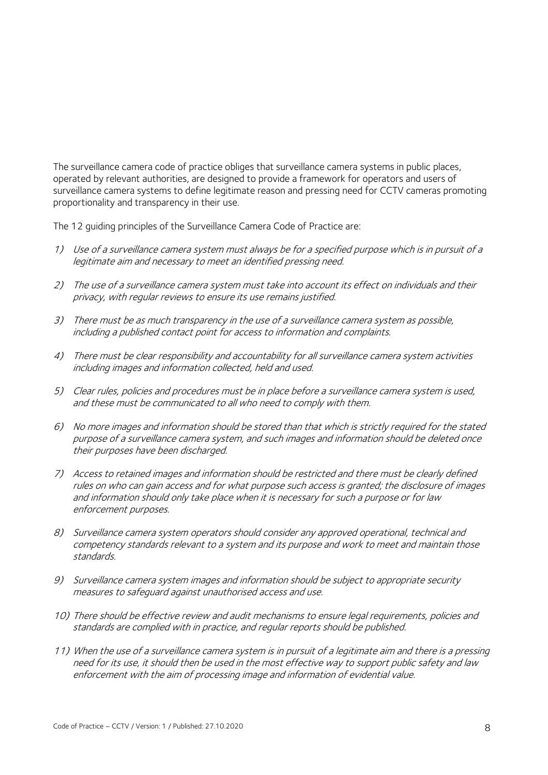The surveillance camera code of practice obliges that surveillance camera systems in public places, operated by relevant authorities, are designed to provide a framework for operators and users of surveillance camera systems to define legitimate reason and pressing need for CCTV cameras promoting proportionality and transparency in their use.

The 12 guiding principles of the Surveillance Camera Code of Practice are:

- 1) Use of a surveillance camera system must always be for a specified purpose which is in pursuit of a legitimate aim and necessary to meet an identified pressing need.
- 2) The use of a surveillance camera system must take into account its effect on individuals and their privacy, with regular reviews to ensure its use remains justified.
- 3) There must be as much transparency in the use of a surveillance camera system as possible, including a published contact point for access to information and complaints.
- 4) There must be clear responsibility and accountability for all surveillance camera system activities including images and information collected, held and used.
- 5) Clear rules, policies and procedures must be in place before a surveillance camera system is used, and these must be communicated to all who need to comply with them.
- 6) No more images and information should be stored than that which is strictly required for the stated purpose of a surveillance camera system, and such images and information should be deleted once their purposes have been discharged.
- 7) Access to retained images and information should be restricted and there must be clearly defined rules on who can gain access and for what purpose such access is granted; the disclosure of images and information should only take place when it is necessary for such a purpose or for law enforcement purposes.
- 8) Surveillance camera system operators should consider any approved operational, technical and competency standards relevant to a system and its purpose and work to meet and maintain those standards.
- 9) Surveillance camera system images and information should be subject to appropriate security measures to safeguard against unauthorised access and use.
- 10) There should be effective review and audit mechanisms to ensure legal requirements, policies and standards are complied with in practice, and regular reports should be published.
- 11) When the use of a surveillance camera system is in pursuit of a legitimate aim and there is a pressing need for its use, it should then be used in the most effective way to support public safety and law enforcement with the aim of processing image and information of evidential value.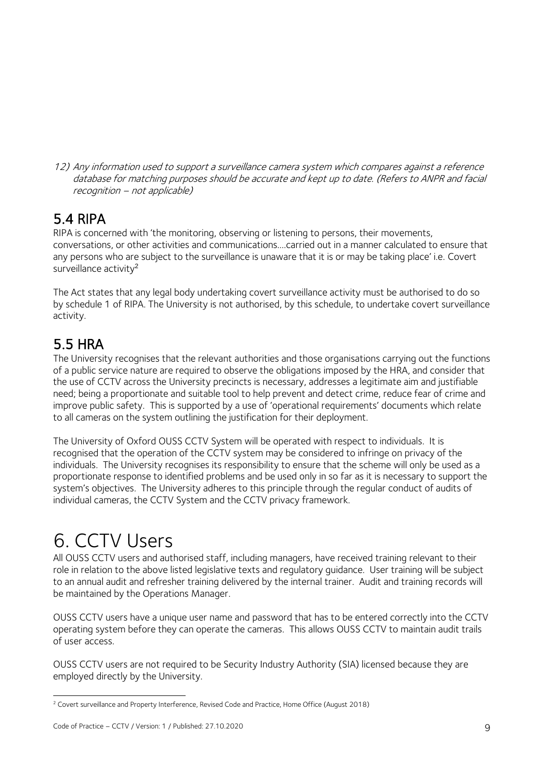12) Any information used to support a surveillance camera system which compares against a reference database for matching purposes should be accurate and kept up to date. (Refers to ANPR and facial recognition – not applicable)

#### <span id="page-8-0"></span>5.4 RIPA

RIPA is concerned with 'the monitoring, observing or listening to persons, their movements, conversations, or other activities and communications….carried out in a manner calculated to ensure that any persons who are subject to the surveillance is unaware that it is or may be taking place' i.e. Covert surveillance activity<sup>2</sup>

The Act states that any legal body undertaking covert surveillance activity must be authorised to do so by schedule 1 of RIPA. The University is not authorised, by this schedule, to undertake covert surveillance activity.

#### <span id="page-8-1"></span>5.5 HRA

The University recognises that the relevant authorities and those organisations carrying out the functions of a public service nature are required to observe the obligations imposed by the HRA, and consider that the use of CCTV across the University precincts is necessary, addresses a legitimate aim and justifiable need; being a proportionate and suitable tool to help prevent and detect crime, reduce fear of crime and improve public safety. This is supported by a use of 'operational requirements' documents which relate to all cameras on the system outlining the justification for their deployment.

The University of Oxford OUSS CCTV System will be operated with respect to individuals. It is recognised that the operation of the CCTV system may be considered to infringe on privacy of the individuals. The University recognises its responsibility to ensure that the scheme will only be used as a proportionate response to identified problems and be used only in so far as it is necessary to support the system's objectives. The University adheres to this principle through the regular conduct of audits of individual cameras, the CCTV System and the CCTV privacy framework.

## <span id="page-8-2"></span>6. CCTV Users

All OUSS CCTV users and authorised staff, including managers, have received training relevant to their role in relation to the above listed legislative texts and regulatory guidance. User training will be subject to an annual audit and refresher training delivered by the internal trainer. Audit and training records will be maintained by the Operations Manager.

OUSS CCTV users have a unique user name and password that has to be entered correctly into the CCTV operating system before they can operate the cameras. This allows OUSS CCTV to maintain audit trails of user access.

OUSS CCTV users are not required to be Security Industry Authority (SIA) licensed because they are employed directly by the University.

<sup>1</sup> <sup>2</sup> Covert surveillance and Property Interference, Revised Code and Practice, Home Office (August 2018)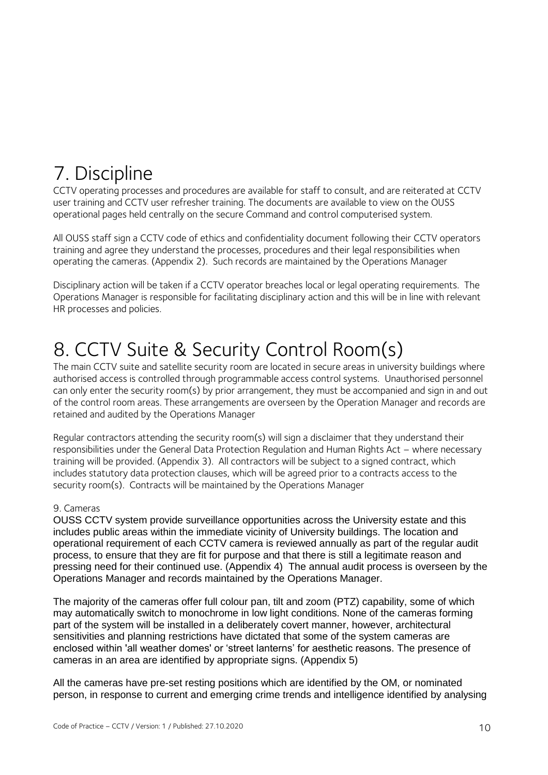## <span id="page-9-0"></span>7. Discipline

CCTV operating processes and procedures are available for staff to consult, and are reiterated at CCTV user training and CCTV user refresher training. The documents are available to view on the OUSS operational pages held centrally on the secure Command and control computerised system.

All OUSS staff sign a CCTV code of ethics and confidentiality document following their CCTV operators training and agree they understand the processes, procedures and their legal responsibilities when operating the cameras. (Appendix 2). Such records are maintained by the Operations Manager

Disciplinary action will be taken if a CCTV operator breaches local or legal operating requirements. The Operations Manager is responsible for facilitating disciplinary action and this will be in line with relevant HR processes and policies.

## <span id="page-9-1"></span>8. CCTV Suite & Security Control Room(s)

The main CCTV suite and satellite security room are located in secure areas in university buildings where authorised access is controlled through programmable access control systems. Unauthorised personnel can only enter the security room(s) by prior arrangement, they must be accompanied and sign in and out of the control room areas. These arrangements are overseen by the Operation Manager and records are retained and audited by the Operations Manager

Regular contractors attending the security room(s) will sign a disclaimer that they understand their responsibilities under the General Data Protection Regulation and Human Rights Act – where necessary training will be provided. (Appendix 3). All contractors will be subject to a signed contract, which includes statutory data protection clauses, which will be agreed prior to a contracts access to the security room(s). Contracts will be maintained by the Operations Manager

#### 9. Cameras

OUSS CCTV system provide surveillance opportunities across the University estate and this includes public areas within the immediate vicinity of University buildings. The location and operational requirement of each CCTV camera is reviewed annually as part of the regular audit process, to ensure that they are fit for purpose and that there is still a legitimate reason and pressing need for their continued use. (Appendix 4) The annual audit process is overseen by the Operations Manager and records maintained by the Operations Manager.

The majority of the cameras offer full colour pan, tilt and zoom (PTZ) capability, some of which may automatically switch to monochrome in low light conditions. None of the cameras forming part of the system will be installed in a deliberately covert manner, however, architectural sensitivities and planning restrictions have dictated that some of the system cameras are enclosed within 'all weather domes' or 'street lanterns' for aesthetic reasons. The presence of cameras in an area are identified by appropriate signs. (Appendix 5)

All the cameras have pre-set resting positions which are identified by the OM, or nominated person, in response to current and emerging crime trends and intelligence identified by analysing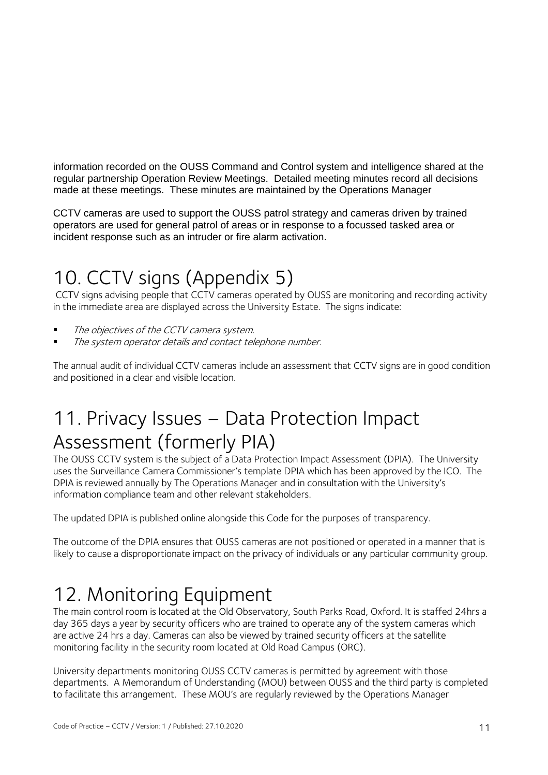information recorded on the OUSS Command and Control system and intelligence shared at the regular partnership Operation Review Meetings. Detailed meeting minutes record all decisions made at these meetings. These minutes are maintained by the Operations Manager

CCTV cameras are used to support the OUSS patrol strategy and cameras driven by trained operators are used for general patrol of areas or in response to a focussed tasked area or incident response such as an intruder or fire alarm activation.

## <span id="page-10-0"></span>10. CCTV signs (Appendix 5)

CCTV signs advising people that CCTV cameras operated by OUSS are monitoring and recording activity in the immediate area are displayed across the University Estate. The signs indicate:

- $\blacksquare$  The objectives of the CCTV camera system.
- **The system operator details and contact telephone number.**

The annual audit of individual CCTV cameras include an assessment that CCTV signs are in good condition and positioned in a clear and visible location.

## <span id="page-10-1"></span>11. Privacy Issues – Data Protection Impact Assessment (formerly PIA)

The OUSS CCTV system is the subject of a Data Protection Impact Assessment (DPIA). The University uses the Surveillance Camera Commissioner's template DPIA which has been approved by the ICO. The DPIA is reviewed annually by The Operations Manager and in consultation with the University's information compliance team and other relevant stakeholders.

The updated DPIA is published online alongside this Code for the purposes of transparency.

The outcome of the DPIA ensures that OUSS cameras are not positioned or operated in a manner that is likely to cause a disproportionate impact on the privacy of individuals or any particular community group.

## <span id="page-10-2"></span>12. Monitoring Equipment

The main control room is located at the Old Observatory, South Parks Road, Oxford. It is staffed 24hrs a day 365 days a year by security officers who are trained to operate any of the system cameras which are active 24 hrs a day. Cameras can also be viewed by trained security officers at the satellite monitoring facility in the security room located at Old Road Campus (ORC).

University departments monitoring OUSS CCTV cameras is permitted by agreement with those departments. A Memorandum of Understanding (MOU) between OUSS and the third party is completed to facilitate this arrangement. These MOU's are regularly reviewed by the Operations Manager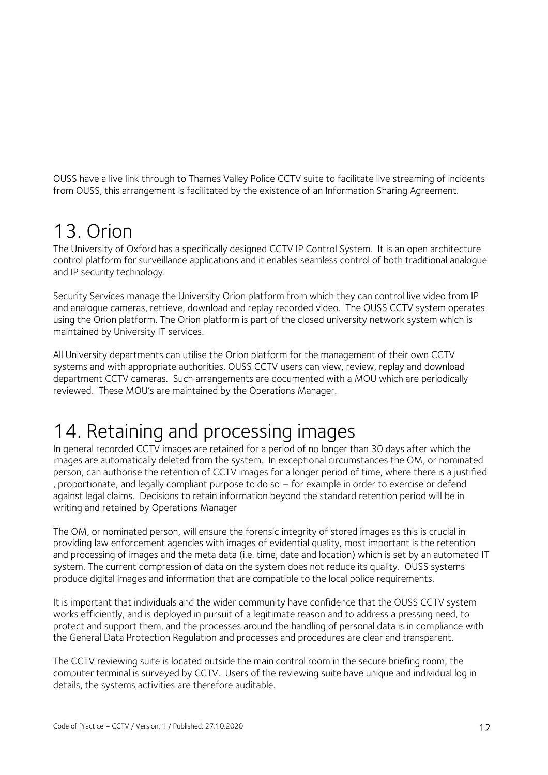OUSS have a live link through to Thames Valley Police CCTV suite to facilitate live streaming of incidents from OUSS, this arrangement is facilitated by the existence of an Information Sharing Agreement.

#### <span id="page-11-0"></span>13. Orion

The University of Oxford has a specifically designed CCTV IP Control System. It is an open architecture control platform for surveillance applications and it enables seamless control of both traditional analogue and IP security technology.

Security Services manage the University Orion platform from which they can control live video from IP and analogue cameras, retrieve, download and replay recorded video. The OUSS CCTV system operates using the Orion platform. The Orion platform is part of the closed university network system which is maintained by University IT services.

All University departments can utilise the Orion platform for the management of their own CCTV systems and with appropriate authorities. OUSS CCTV users can view, review, replay and download department CCTV cameras. Such arrangements are documented with a MOU which are periodically reviewed. These MOU's are maintained by the Operations Manager.

### <span id="page-11-1"></span>14. Retaining and processing images

In general recorded CCTV images are retained for a period of no longer than 30 days after which the images are automatically deleted from the system. In exceptional circumstances the OM, or nominated person, can authorise the retention of CCTV images for a longer period of time, where there is a justified , proportionate, and legally compliant purpose to do so – for example in order to exercise or defend against legal claims. Decisions to retain information beyond the standard retention period will be in writing and retained by Operations Manager

The OM, or nominated person, will ensure the forensic integrity of stored images as this is crucial in providing law enforcement agencies with images of evidential quality, most important is the retention and processing of images and the meta data (i.e. time, date and location) which is set by an automated IT system. The current compression of data on the system does not reduce its quality. OUSS systems produce digital images and information that are compatible to the local police requirements.

It is important that individuals and the wider community have confidence that the OUSS CCTV system works efficiently, and is deployed in pursuit of a legitimate reason and to address a pressing need, to protect and support them, and the processes around the handling of personal data is in compliance with the General Data Protection Regulation and processes and procedures are clear and transparent.

The CCTV reviewing suite is located outside the main control room in the secure briefing room, the computer terminal is surveyed by CCTV. Users of the reviewing suite have unique and individual log in details, the systems activities are therefore auditable.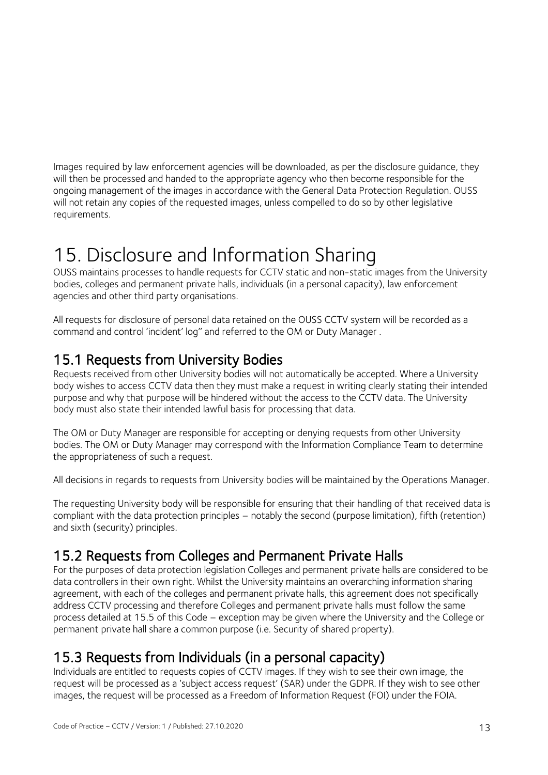Images required by law enforcement agencies will be downloaded, as per the disclosure guidance, they will then be processed and handed to the appropriate agency who then become responsible for the ongoing management of the images in accordance with the General Data Protection Regulation. OUSS will not retain any copies of the requested images, unless compelled to do so by other legislative requirements.

### <span id="page-12-0"></span>15. Disclosure and Information Sharing

OUSS maintains processes to handle requests for CCTV static and non-static images from the University bodies, colleges and permanent private halls, individuals (in a personal capacity), law enforcement agencies and other third party organisations.

All requests for disclosure of personal data retained on the OUSS CCTV system will be recorded as a command and control 'incident' log'' and referred to the OM or Duty Manager .

#### <span id="page-12-1"></span>15.1 Requests from University Bodies

Requests received from other University bodies will not automatically be accepted. Where a University body wishes to access CCTV data then they must make a request in writing clearly stating their intended purpose and why that purpose will be hindered without the access to the CCTV data. The University body must also state their intended lawful basis for processing that data.

The OM or Duty Manager are responsible for accepting or denying requests from other University bodies. The OM or Duty Manager may correspond with the Information Compliance Team to determine the appropriateness of such a request.

All decisions in regards to requests from University bodies will be maintained by the Operations Manager.

The requesting University body will be responsible for ensuring that their handling of that received data is compliant with the data protection principles – notably the second (purpose limitation), fifth (retention) and sixth (security) principles.

#### <span id="page-12-2"></span>15.2 Requests from Colleges and Permanent Private Halls

For the purposes of data protection legislation Colleges and permanent private halls are considered to be data controllers in their own right. Whilst the University maintains an overarching information sharing agreement, with each of the colleges and permanent private halls, this agreement does not specifically address CCTV processing and therefore Colleges and permanent private halls must follow the same process detailed at 15.5 of this Code – exception may be given where the University and the College or permanent private hall share a common purpose (i.e. Security of shared property).

#### <span id="page-12-3"></span>15.3 Requests from Individuals (in a personal capacity)

Individuals are entitled to requests copies of CCTV images. If they wish to see their own image, the request will be processed as a 'subject access request' (SAR) under the GDPR. If they wish to see other images, the request will be processed as a Freedom of Information Request (FOI) under the FOIA.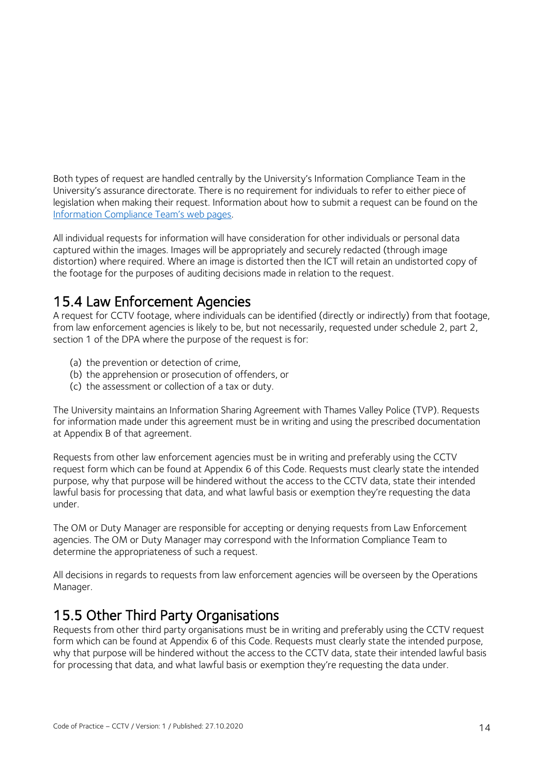Both types of request are handled centrally by the University's Information Compliance Team in the University's assurance directorate. There is no requirement for individuals to refer to either piece of legislation when making their request. Information about how to submit a request can be found on the [Information Compliance Team's web pages](https://compliance.admin.ox.ac.uk/submit-an-information-requesthttps:/compliance.admin.ox.ac.uk/submit-an-information-request).

All individual requests for information will have consideration for other individuals or personal data captured within the images. Images will be appropriately and securely redacted (through image distortion) where required. Where an image is distorted then the ICT will retain an undistorted copy of the footage for the purposes of auditing decisions made in relation to the request.

#### <span id="page-13-0"></span>15.4 Law Enforcement Agencies

A request for CCTV footage, where individuals can be identified (directly or indirectly) from that footage, from law enforcement agencies is likely to be, but not necessarily, requested under schedule 2, part 2, section 1 of the DPA where the purpose of the request is for:

- (a) the prevention or detection of crime,
- (b) the apprehension or prosecution of offenders, or
- (c) the assessment or collection of a tax or duty.

The University maintains an Information Sharing Agreement with Thames Valley Police (TVP). Requests for information made under this agreement must be in writing and using the prescribed documentation at Appendix B of that agreement.

Requests from other law enforcement agencies must be in writing and preferably using the CCTV request form which can be found at Appendix 6 of this Code. Requests must clearly state the intended purpose, why that purpose will be hindered without the access to the CCTV data, state their intended lawful basis for processing that data, and what lawful basis or exemption they're requesting the data under.

The OM or Duty Manager are responsible for accepting or denying requests from Law Enforcement agencies. The OM or Duty Manager may correspond with the Information Compliance Team to determine the appropriateness of such a request.

All decisions in regards to requests from law enforcement agencies will be overseen by the Operations Manager.

#### <span id="page-13-1"></span>15.5 Other Third Party Organisations

Requests from other third party organisations must be in writing and preferably using the CCTV request form which can be found at Appendix 6 of this Code. Requests must clearly state the intended purpose, why that purpose will be hindered without the access to the CCTV data, state their intended lawful basis for processing that data, and what lawful basis or exemption they're requesting the data under.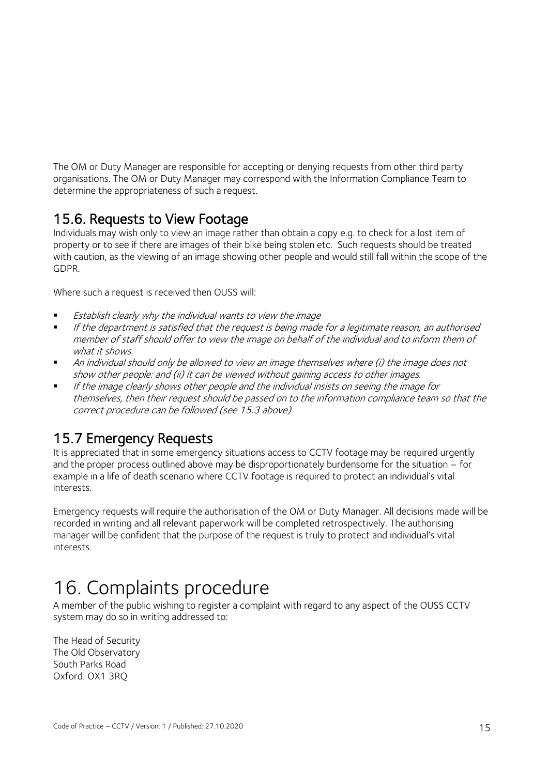The OM or Duty Manager are responsible for accepting or denying requests from other third party organisations. The OM or Duty Manager may correspond with the Information Compliance Team to determine the appropriateness of such a request.

#### <span id="page-14-0"></span>15.6. Requests to View Footage

Individuals may wish only to view an image rather than obtain a copy e.g. to check for a lost item of property or to see if there are images of their bike being stolen etc. Such requests should be treated with caution, as the viewing of an image showing other people and would still fall within the scope of the GDPR.

Where such a request is received then OUSS will:

- **Establish clearly why the individual wants to view the image<br>In this department is satisfied that the request is being made.**
- If the department is satisfied that the request is being made for a legitimate reason, an authorised member of staff should offer to view the image on behalf of the individual and to inform them of what it shows.
- An individual should only be allowed to view an image themselves where (i) the image does not show other people: and (ii) it can be viewed without gaining access to other images.
- If the image clearly shows other people and the individual insists on seeing the image for themselves, then their request should be passed on to the information compliance team so that the correct procedure can be followed (see 15.3 above)

#### <span id="page-14-1"></span>15.7 Emergency Requests

It is appreciated that in some emergency situations access to CCTV footage may be required urgently and the proper process outlined above may be disproportionately burdensome for the situation – for example in a life of death scenario where CCTV footage is required to protect an individual's vital interests.

Emergency requests will require the authorisation of the OM or Duty Manager. All decisions made will be recorded in writing and all relevant paperwork will be completed retrospectively. The authorising manager will be confident that the purpose of the request is truly to protect and individual's vital interests.

### <span id="page-14-2"></span>16. Complaints procedure

A member of the public wishing to register a complaint with regard to any aspect of the OUSS CCTV system may do so in writing addressed to:

The Head of Security The Old Observatory South Parks Road Oxford. OX1 3RQ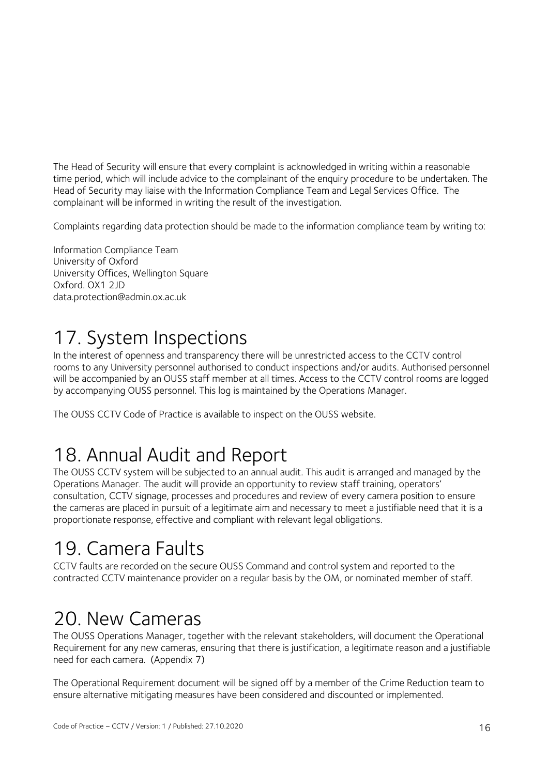The Head of Security will ensure that every complaint is acknowledged in writing within a reasonable time period, which will include advice to the complainant of the enquiry procedure to be undertaken. The Head of Security may liaise with the Information Compliance Team and Legal Services Office. The complainant will be informed in writing the result of the investigation.

Complaints regarding data protection should be made to the information compliance team by writing to:

Information Compliance Team University of Oxford University Offices, Wellington Square Oxford. OX1 2JD data.protection@admin.ox.ac.uk

## <span id="page-15-0"></span>17. System Inspections

In the interest of openness and transparency there will be unrestricted access to the CCTV control rooms to any University personnel authorised to conduct inspections and/or audits. Authorised personnel will be accompanied by an OUSS staff member at all times. Access to the CCTV control rooms are logged by accompanying OUSS personnel. This log is maintained by the Operations Manager.

The OUSS CCTV Code of Practice is available to inspect on the OUSS website.

### <span id="page-15-1"></span>18. Annual Audit and Report

The OUSS CCTV system will be subjected to an annual audit. This audit is arranged and managed by the Operations Manager. The audit will provide an opportunity to review staff training, operators' consultation, CCTV signage, processes and procedures and review of every camera position to ensure the cameras are placed in pursuit of a legitimate aim and necessary to meet a justifiable need that it is a proportionate response, effective and compliant with relevant legal obligations.

### <span id="page-15-2"></span>19. Camera Faults

CCTV faults are recorded on the secure OUSS Command and control system and reported to the contracted CCTV maintenance provider on a regular basis by the OM, or nominated member of staff.

### <span id="page-15-3"></span>20. New Cameras

The OUSS Operations Manager, together with the relevant stakeholders, will document the Operational Requirement for any new cameras, ensuring that there is justification, a legitimate reason and a justifiable need for each camera. (Appendix 7)

The Operational Requirement document will be signed off by a member of the Crime Reduction team to ensure alternative mitigating measures have been considered and discounted or implemented.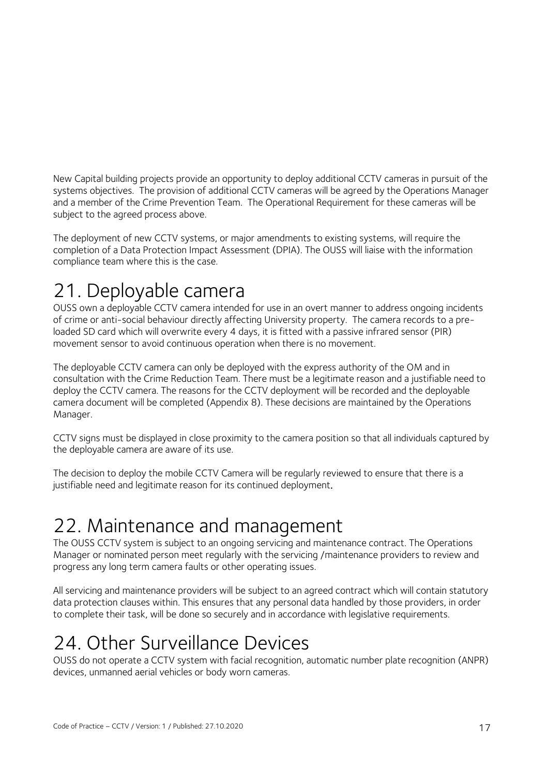New Capital building projects provide an opportunity to deploy additional CCTV cameras in pursuit of the systems objectives. The provision of additional CCTV cameras will be agreed by the Operations Manager and a member of the Crime Prevention Team. The Operational Requirement for these cameras will be subject to the agreed process above.

The deployment of new CCTV systems, or major amendments to existing systems, will require the completion of a Data Protection Impact Assessment (DPIA). The OUSS will liaise with the information compliance team where this is the case.

## <span id="page-16-0"></span>21. Deployable camera

OUSS own a deployable CCTV camera intended for use in an overt manner to address ongoing incidents of crime or anti-social behaviour directly affecting University property. The camera records to a preloaded SD card which will overwrite every 4 days, it is fitted with a passive infrared sensor (PIR) movement sensor to avoid continuous operation when there is no movement.

The deployable CCTV camera can only be deployed with the express authority of the OM and in consultation with the Crime Reduction Team. There must be a legitimate reason and a justifiable need to deploy the CCTV camera. The reasons for the CCTV deployment will be recorded and the deployable camera document will be completed (Appendix 8). These decisions are maintained by the Operations Manager.

CCTV signs must be displayed in close proximity to the camera position so that all individuals captured by the deployable camera are aware of its use.

The decision to deploy the mobile CCTV Camera will be regularly reviewed to ensure that there is a justifiable need and legitimate reason for its continued deployment.

### <span id="page-16-1"></span>22. Maintenance and management

The OUSS CCTV system is subject to an ongoing servicing and maintenance contract. The Operations Manager or nominated person meet regularly with the servicing /maintenance providers to review and progress any long term camera faults or other operating issues.

All servicing and maintenance providers will be subject to an agreed contract which will contain statutory data protection clauses within. This ensures that any personal data handled by those providers, in order to complete their task, will be done so securely and in accordance with legislative requirements.

## <span id="page-16-2"></span>24. Other Surveillance Devices

OUSS do not operate a CCTV system with facial recognition, automatic number plate recognition (ANPR) devices, unmanned aerial vehicles or body worn cameras.